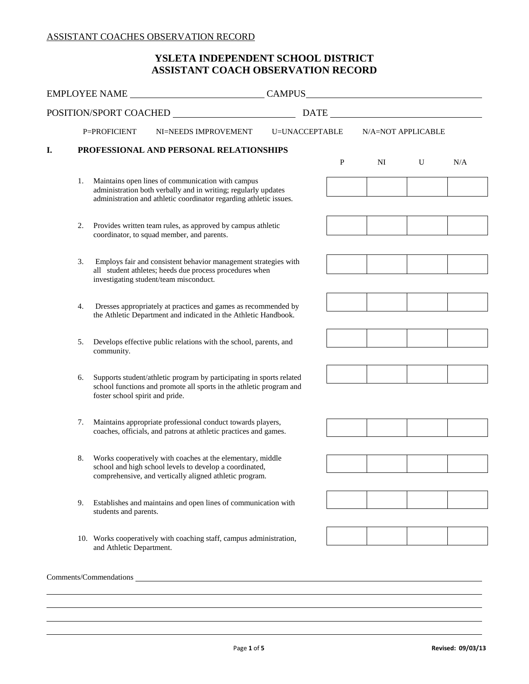## **ASSISTANT COACH OBSERVATION RECORD YSLETA INDEPENDENT SCHOOL DISTRICT**

|    |                                                                                                           | EMPLOYEE NAME                                                                                                                                                                                |                |           |                    |   |     |  |  |
|----|-----------------------------------------------------------------------------------------------------------|----------------------------------------------------------------------------------------------------------------------------------------------------------------------------------------------|----------------|-----------|--------------------|---|-----|--|--|
|    |                                                                                                           | POSITION/SPORT COACHED                                                                                                                                                                       |                |           |                    |   |     |  |  |
|    | P=PROFICIENT                                                                                              | NI=NEEDS IMPROVEMENT                                                                                                                                                                         | U=UNACCEPTABLE |           | N/A=NOT APPLICABLE |   |     |  |  |
|    | PROFESSIONAL AND PERSONAL RELATIONSHIPS                                                                   |                                                                                                                                                                                              |                |           |                    |   |     |  |  |
|    |                                                                                                           |                                                                                                                                                                                              |                | ${\bf P}$ | NI                 | U | N/A |  |  |
|    |                                                                                                           | 1. Maintains open lines of communication with campus<br>administration both verbally and in writing; regularly updates<br>administration and athletic coordinator regarding athletic issues. |                |           |                    |   |     |  |  |
|    |                                                                                                           |                                                                                                                                                                                              |                |           |                    |   |     |  |  |
| 2. | Provides written team rules, as approved by campus athletic<br>coordinator, to squad member, and parents. |                                                                                                                                                                                              |                |           |                    |   |     |  |  |
| 3. |                                                                                                           | Employs fair and consistent behavior management strategies with<br>all student athletes; heeds due process procedures when<br>investigating student/team misconduct.                         |                |           |                    |   |     |  |  |
| 4. |                                                                                                           | Dresses appropriately at practices and games as recommended by<br>the Athletic Department and indicated in the Athletic Handbook.                                                            |                |           |                    |   |     |  |  |
| 5. | community.                                                                                                | Develops effective public relations with the school, parents, and                                                                                                                            |                |           |                    |   |     |  |  |
| 6. | foster school spirit and pride.                                                                           | Supports student/athletic program by participating in sports related<br>school functions and promote all sports in the athletic program and                                                  |                |           |                    |   |     |  |  |
| 7. |                                                                                                           | Maintains appropriate professional conduct towards players,<br>coaches, officials, and patrons at athletic practices and games.                                                              |                |           |                    |   |     |  |  |
| 8. |                                                                                                           | Works cooperatively with coaches at the elementary, middle<br>school and high school levels to develop a coordinated,<br>comprehensive, and vertically aligned athletic program.             |                |           |                    |   |     |  |  |
| 9. | students and parents.                                                                                     | Establishes and maintains and open lines of communication with                                                                                                                               |                |           |                    |   |     |  |  |
|    | and Athletic Department.                                                                                  | 10. Works cooperatively with coaching staff, campus administration,                                                                                                                          |                |           |                    |   |     |  |  |

 $\overline{a}$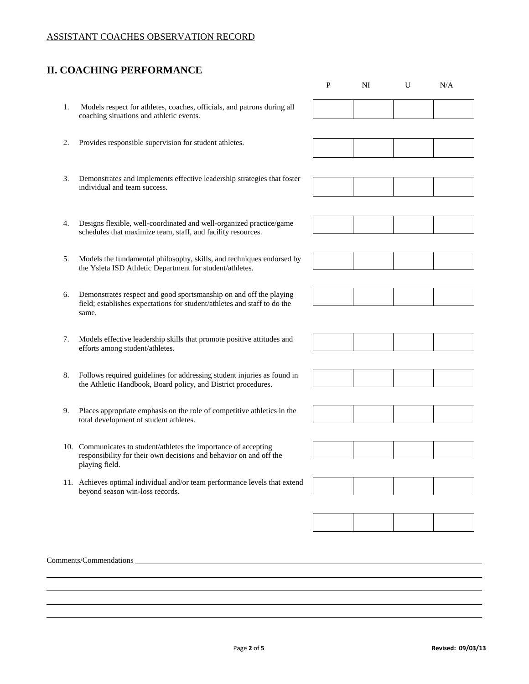# **II. COACHING PERFORMANCE**

 $\overline{a}$  $\overline{a}$ 

 Comments/Commendations 1. Models respect for athletes, coaches, officials, and patrons during all 3. Demonstrates and implements effective leadership strategies that foster 4. Designs flexible, well-coordinated and well-organized practice/game schedules that maximize team, staff, and facility resources. 5. Models the fundamental philosophy, skills, and techniques endorsed by the Ysleta ISD Athletic Department for student/athletes. 6. Demonstrates respect and good sportsmanship on and off the playing field; establishes expectations for student/athletes and staff to do the 7. Models effective leadership skills that promote positive attitudes and 8. Follows required guidelines for addressing student injuries as found in the Athletic Handbook, Board policy, and District procedures. 9. Places appropriate emphasis on the role of competitive athletics in the 10. Communicates to student/athletes the importance of accepting responsibility for their own decisions and behavior on and off the playing field. beyond season win-loss records. coaching situations and athletic events. 2. Provides responsible supervision for student athletes. individual and team success. same. efforts among student/athletes. total development of student athletes. 11. Achieves optimal individual and/or team performance levels that extend

P NI U N/A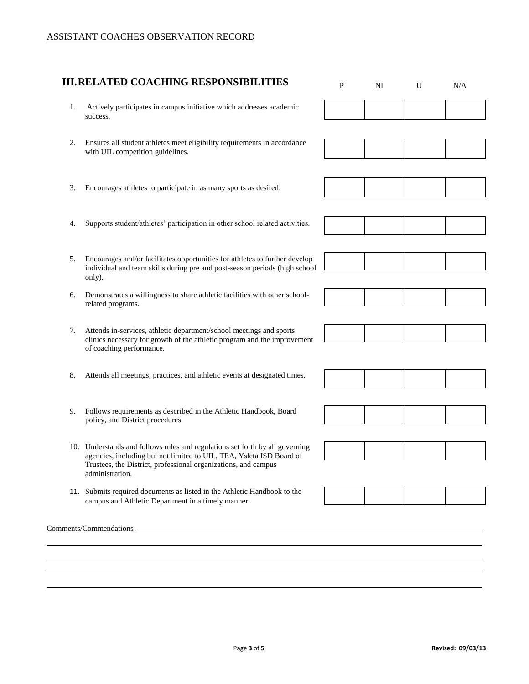$\overline{a}$  $\overline{a}$ 

|    | <b>III.RELATED COACHING RESPONSIBILITIES</b>                                                                                                                                                                                              | P | NI | U | N/A |
|----|-------------------------------------------------------------------------------------------------------------------------------------------------------------------------------------------------------------------------------------------|---|----|---|-----|
| 1. | Actively participates in campus initiative which addresses academic<br>success.                                                                                                                                                           |   |    |   |     |
| 2. | Ensures all student athletes meet eligibility requirements in accordance<br>with UIL competition guidelines.                                                                                                                              |   |    |   |     |
| 3. | Encourages athletes to participate in as many sports as desired.                                                                                                                                                                          |   |    |   |     |
| 4. | Supports student/athletes' participation in other school related activities.                                                                                                                                                              |   |    |   |     |
| 5. | Encourages and/or facilitates opportunities for athletes to further develop<br>individual and team skills during pre and post-season periods (high school<br>only).                                                                       |   |    |   |     |
| 6. | Demonstrates a willingness to share athletic facilities with other school-<br>related programs.                                                                                                                                           |   |    |   |     |
| 7. | Attends in-services, athletic department/school meetings and sports<br>clinics necessary for growth of the athletic program and the improvement<br>of coaching performance.                                                               |   |    |   |     |
| 8. | Attends all meetings, practices, and athletic events at designated times.                                                                                                                                                                 |   |    |   |     |
| 9. | Follows requirements as described in the Athletic Handbook, Board<br>policy, and District procedures.                                                                                                                                     |   |    |   |     |
|    | 10. Understands and follows rules and regulations set forth by all governing<br>agencies, including but not limited to UIL, TEA, Ysleta ISD Board of<br>Trustees, the District, professional organizations, and campus<br>administration. |   |    |   |     |
|    | 11. Submits required documents as listed in the Athletic Handbook to the<br>campus and Athletic Department in a timely manner.                                                                                                            |   |    |   |     |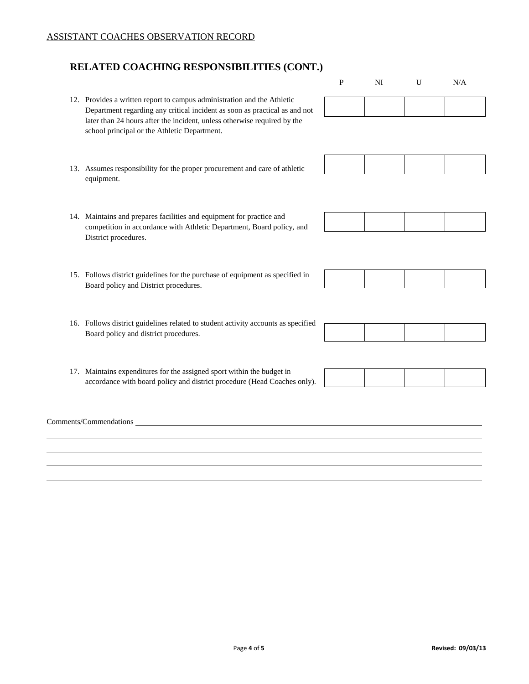$\overline{a}$  $\overline{a}$ 

# **RELATED COACHING RESPONSIBILITIES (CONT.)**

 Comments/Commendations 12. Provides a written report to campus administration and the Athletic Department regarding any critical incident as soon as practical as and not later than 24 hours after the incident, unless otherwise required by the 13. Assumes responsibility for the proper procurement and care of athletic 14. Maintains and prepares facilities and equipment for practice and competition in accordance with Athletic Department, Board policy, and 15. Follows district guidelines for the purchase of equipment as specified in 16. Follows district guidelines related to student activity accounts as specified Board policy and district procedures. 17. Maintains expenditures for the assigned sport within the budget in accordance with board policy and district procedure (Head Coaches only). P NI U N/A school principal or the Athletic Department. equipment. District procedures. Board policy and District procedures.